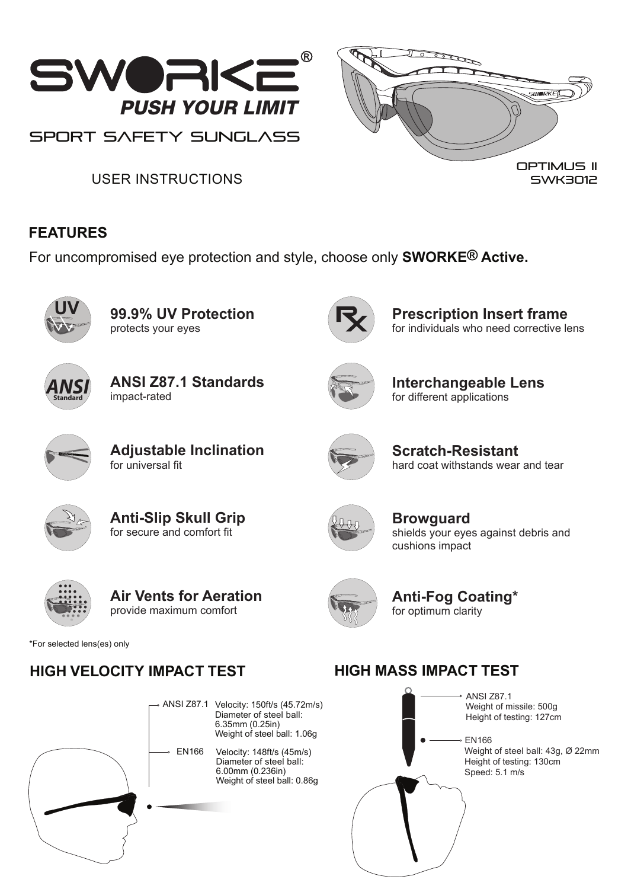

USER INSTRUCTIONS

### **FEATURES**

For uncompromised eye protection and style, choose only **SWORKE® Active.**



**99.9% UV Protection** protects your eyes



**Prescription Insert frame** for individuals who need corrective lens

SWK3012



**ANSI Z87.1 Standards** impact-rated



**Interchangeable Lens** for different applications



**Adjustable Inclination** for universal fit



**Scratch-Resistant** hard coat withstands wear and tear



**Anti-Slip Skull Grip** for secure and comfort fit



**Browguard** shields your eyes against debris and cushions impact



**Air Vents for Aeration** provide maximum comfort



**Anti-Fog Coating\*** for optimum clarity

\*For selected lens(es) only

# **HIGH VELOCITY IMPACT TEST**



# **HIGH MASS IMPACT TEST**